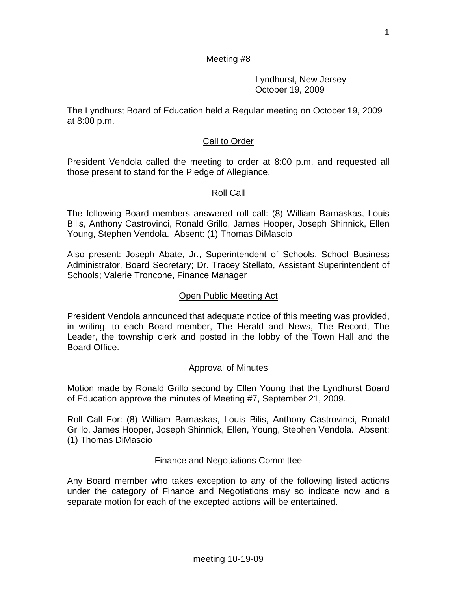Lyndhurst, New Jersey October 19, 2009

The Lyndhurst Board of Education held a Regular meeting on October 19, 2009 at 8:00 p.m.

# Call to Order

President Vendola called the meeting to order at 8:00 p.m. and requested all those present to stand for the Pledge of Allegiance.

# Roll Call

The following Board members answered roll call: (8) William Barnaskas, Louis Bilis, Anthony Castrovinci, Ronald Grillo, James Hooper, Joseph Shinnick, Ellen Young, Stephen Vendola. Absent: (1) Thomas DiMascio

Also present: Joseph Abate, Jr., Superintendent of Schools, School Business Administrator, Board Secretary; Dr. Tracey Stellato, Assistant Superintendent of Schools; Valerie Troncone, Finance Manager

#### Open Public Meeting Act

President Vendola announced that adequate notice of this meeting was provided, in writing, to each Board member, The Herald and News, The Record, The Leader, the township clerk and posted in the lobby of the Town Hall and the Board Office.

#### Approval of Minutes

Motion made by Ronald Grillo second by Ellen Young that the Lyndhurst Board of Education approve the minutes of Meeting #7, September 21, 2009.

Roll Call For: (8) William Barnaskas, Louis Bilis, Anthony Castrovinci, Ronald Grillo, James Hooper, Joseph Shinnick, Ellen, Young, Stephen Vendola. Absent: (1) Thomas DiMascio

# Finance and Negotiations Committee

Any Board member who takes exception to any of the following listed actions under the category of Finance and Negotiations may so indicate now and a separate motion for each of the excepted actions will be entertained.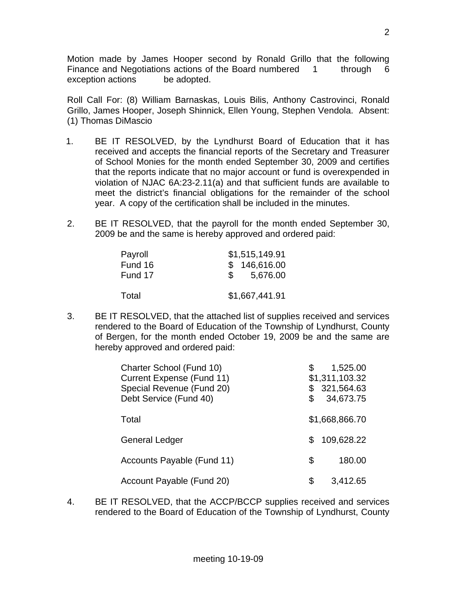Motion made by James Hooper second by Ronald Grillo that the following Finance and Negotiations actions of the Board numbered 1 through 6 exception actions be adopted.

Roll Call For: (8) William Barnaskas, Louis Bilis, Anthony Castrovinci, Ronald Grillo, James Hooper, Joseph Shinnick, Ellen Young, Stephen Vendola. Absent: (1) Thomas DiMascio

- 1. BE IT RESOLVED, by the Lyndhurst Board of Education that it has received and accepts the financial reports of the Secretary and Treasurer of School Monies for the month ended September 30, 2009 and certifies that the reports indicate that no major account or fund is overexpended in violation of NJAC 6A:23-2.11(a) and that sufficient funds are available to meet the district's financial obligations for the remainder of the school year. A copy of the certification shall be included in the minutes.
- 2. BE IT RESOLVED, that the payroll for the month ended September 30, 2009 be and the same is hereby approved and ordered paid:

| Payroll | \$1,515,149.91            |
|---------|---------------------------|
| Fund 16 | \$146,616.00              |
| Fund 17 | 5,676.00<br>$\mathcal{S}$ |
|         |                           |
| Total   | \$1,667,441.91            |

3. BE IT RESOLVED, that the attached list of supplies received and services rendered to the Board of Education of the Township of Lyndhurst, County of Bergen, for the month ended October 19, 2009 be and the same are hereby approved and ordered paid:

| Charter School (Fund 10)<br><b>Current Expense (Fund 11)</b><br>Special Revenue (Fund 20)<br>Debt Service (Fund 40) | \$<br>\$ | 1,525.00<br>\$1,311,103.32<br>321,564.63<br>34,673.75 |
|---------------------------------------------------------------------------------------------------------------------|----------|-------------------------------------------------------|
| Total                                                                                                               |          | \$1,668,866.70                                        |
| <b>General Ledger</b>                                                                                               | S.       | 109,628.22                                            |
| Accounts Payable (Fund 11)                                                                                          | S        | 180.00                                                |
| Account Payable (Fund 20)                                                                                           | S        | 3,412.65                                              |

4. BE IT RESOLVED, that the ACCP/BCCP supplies received and services rendered to the Board of Education of the Township of Lyndhurst, County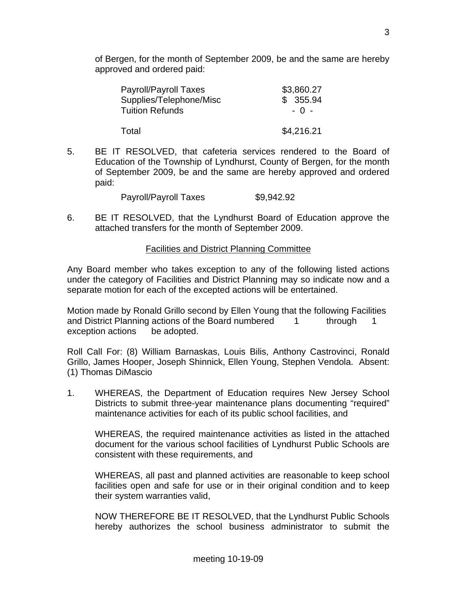of Bergen, for the month of September 2009, be and the same are hereby approved and ordered paid:

| <b>Payroll/Payroll Taxes</b> | \$3,860.27 |
|------------------------------|------------|
| Supplies/Telephone/Misc      | \$355.94   |
| <b>Tuition Refunds</b>       | $-0 -$     |
| Total                        | \$4,216.21 |

5. BE IT RESOLVED, that cafeteria services rendered to the Board of Education of the Township of Lyndhurst, County of Bergen, for the month of September 2009, be and the same are hereby approved and ordered paid:

Payroll/Payroll Taxes \$9,942.92

6. BE IT RESOLVED, that the Lyndhurst Board of Education approve the attached transfers for the month of September 2009.

#### Facilities and District Planning Committee

Any Board member who takes exception to any of the following listed actions under the category of Facilities and District Planning may so indicate now and a separate motion for each of the excepted actions will be entertained.

Motion made by Ronald Grillo second by Ellen Young that the following Facilities and District Planning actions of the Board numbered 1 through 1 exception actions be adopted.

Roll Call For: (8) William Barnaskas, Louis Bilis, Anthony Castrovinci, Ronald Grillo, James Hooper, Joseph Shinnick, Ellen Young, Stephen Vendola. Absent: (1) Thomas DiMascio

1. WHEREAS, the Department of Education requires New Jersey School Districts to submit three-year maintenance plans documenting "required" maintenance activities for each of its public school facilities, and

 WHEREAS, the required maintenance activities as listed in the attached document for the various school facilities of Lyndhurst Public Schools are consistent with these requirements, and

 WHEREAS, all past and planned activities are reasonable to keep school facilities open and safe for use or in their original condition and to keep their system warranties valid,

 NOW THEREFORE BE IT RESOLVED, that the Lyndhurst Public Schools hereby authorizes the school business administrator to submit the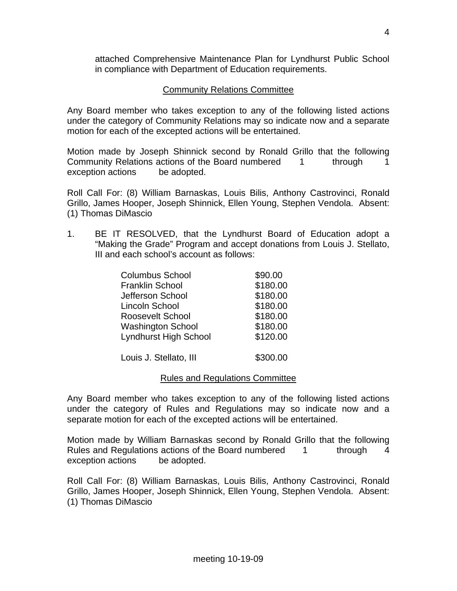attached Comprehensive Maintenance Plan for Lyndhurst Public School in compliance with Department of Education requirements.

# Community Relations Committee

Any Board member who takes exception to any of the following listed actions under the category of Community Relations may so indicate now and a separate motion for each of the excepted actions will be entertained.

Motion made by Joseph Shinnick second by Ronald Grillo that the following Community Relations actions of the Board numbered 1 through 1 exception actions be adopted.

Roll Call For: (8) William Barnaskas, Louis Bilis, Anthony Castrovinci, Ronald Grillo, James Hooper, Joseph Shinnick, Ellen Young, Stephen Vendola. Absent: (1) Thomas DiMascio

1. BE IT RESOLVED, that the Lyndhurst Board of Education adopt a "Making the Grade" Program and accept donations from Louis J. Stellato, III and each school's account as follows:

| <b>Columbus School</b>       | \$90.00  |
|------------------------------|----------|
| <b>Franklin School</b>       | \$180.00 |
| Jefferson School             | \$180.00 |
| Lincoln School               | \$180.00 |
| Roosevelt School             | \$180.00 |
| <b>Washington School</b>     | \$180.00 |
| <b>Lyndhurst High School</b> | \$120.00 |
|                              |          |
|                              |          |

Louis J. Stellato, III **\$300.00** 

# Rules and Regulations Committee

Any Board member who takes exception to any of the following listed actions under the category of Rules and Regulations may so indicate now and a separate motion for each of the excepted actions will be entertained.

Motion made by William Barnaskas second by Ronald Grillo that the following Rules and Regulations actions of the Board numbered 1 through 4 exception actions be adopted.

Roll Call For: (8) William Barnaskas, Louis Bilis, Anthony Castrovinci, Ronald Grillo, James Hooper, Joseph Shinnick, Ellen Young, Stephen Vendola. Absent: (1) Thomas DiMascio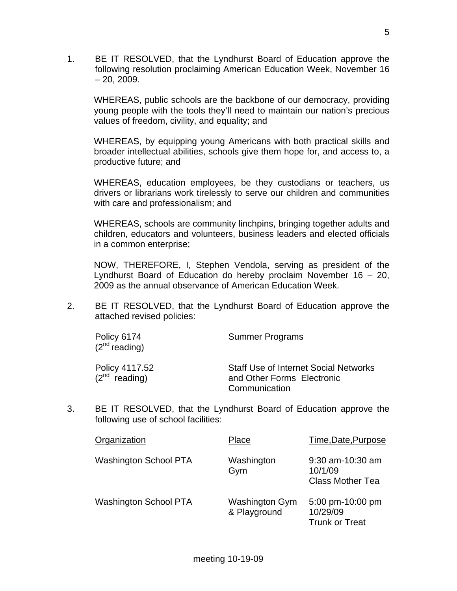1. BE IT RESOLVED, that the Lyndhurst Board of Education approve the following resolution proclaiming American Education Week, November 16  $-20, 2009.$ 

WHEREAS, public schools are the backbone of our democracy, providing young people with the tools they'll need to maintain our nation's precious values of freedom, civility, and equality; and

WHEREAS, by equipping young Americans with both practical skills and broader intellectual abilities, schools give them hope for, and access to, a productive future; and

WHEREAS, education employees, be they custodians or teachers, us drivers or librarians work tirelessly to serve our children and communities with care and professionalism; and

WHEREAS, schools are community linchpins, bringing together adults and children, educators and volunteers, business leaders and elected officials in a common enterprise;

NOW, THEREFORE, I, Stephen Vendola, serving as president of the Lyndhurst Board of Education do hereby proclaim November 16 – 20, 2009 as the annual observance of American Education Week.

2. BE IT RESOLVED, that the Lyndhurst Board of Education approve the attached revised policies:

| Policy 6174<br>$(2^{nd}$ reading)    | <b>Summer Programs</b>                                                                      |
|--------------------------------------|---------------------------------------------------------------------------------------------|
| Policy 4117.52<br>$(2^{nd}$ reading) | <b>Staff Use of Internet Social Networks</b><br>and Other Forms Electronic<br>Communication |

3. BE IT RESOLVED, that the Lyndhurst Board of Education approve the following use of school facilities:

| Organization                 | Place                          | Time, Date, Purpose                                    |
|------------------------------|--------------------------------|--------------------------------------------------------|
| <b>Washington School PTA</b> | Washington<br>Gym              | 9:30 am-10:30 am<br>10/1/09<br><b>Class Mother Tea</b> |
| <b>Washington School PTA</b> | Washington Gym<br>& Playground | 5:00 pm-10:00 pm<br>10/29/09<br><b>Trunk or Treat</b>  |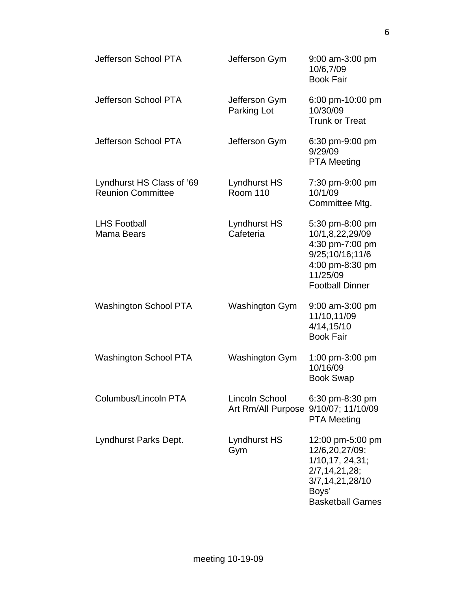| Jefferson School PTA                                  | Jefferson Gym                                          | 9:00 am-3:00 pm<br>10/6,7/09<br><b>Book Fair</b>                                                                                  |
|-------------------------------------------------------|--------------------------------------------------------|-----------------------------------------------------------------------------------------------------------------------------------|
| Jefferson School PTA                                  | Jefferson Gym<br>Parking Lot                           | 6:00 pm-10:00 pm<br>10/30/09<br><b>Trunk or Treat</b>                                                                             |
| Jefferson School PTA                                  | Jefferson Gym                                          | 6:30 pm-9:00 pm<br>9/29/09<br><b>PTA Meeting</b>                                                                                  |
| Lyndhurst HS Class of '69<br><b>Reunion Committee</b> | Lyndhurst HS<br><b>Room 110</b>                        | 7:30 pm-9:00 pm<br>10/1/09<br>Committee Mtg.                                                                                      |
| <b>LHS Football</b><br><b>Mama Bears</b>              | Lyndhurst HS<br>Cafeteria                              | 5:30 pm-8:00 pm<br>10/1,8,22,29/09<br>4:30 pm-7:00 pm<br>9/25;10/16;11/6<br>4:00 pm-8:30 pm<br>11/25/09<br><b>Football Dinner</b> |
| <b>Washington School PTA</b>                          | Washington Gym                                         | 9:00 am-3:00 pm<br>11/10,11/09<br>4/14,15/10<br><b>Book Fair</b>                                                                  |
| <b>Washington School PTA</b>                          | Washington Gym                                         | 1:00 pm-3:00 pm<br>10/16/09<br><b>Book Swap</b>                                                                                   |
| Columbus/Lincoln PTA                                  | Lincoln School<br>Art Rm/All Purpose 9/10/07; 11/10/09 | 6:30 pm-8:30 pm<br><b>PTA Meeting</b>                                                                                             |
| Lyndhurst Parks Dept.                                 | Lyndhurst HS<br>Gym                                    | 12:00 pm-5:00 pm<br>12/6,20,27/09;<br>1/10,17, 24,31;<br>2/7, 14, 21, 28;<br>3/7,14,21,28/10<br>Boys'<br><b>Basketball Games</b>  |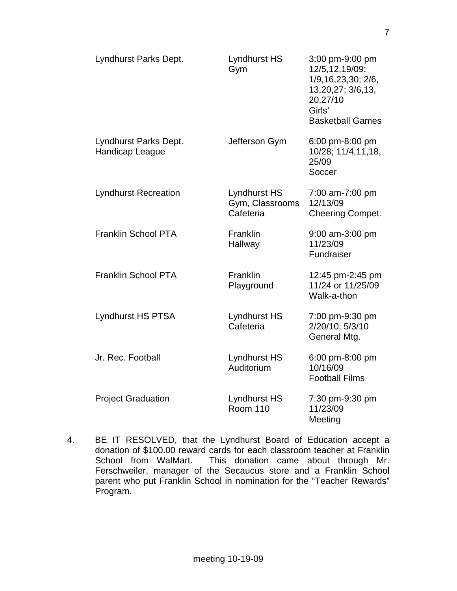| Lyndhurst Parks Dept.                    | <b>Lyndhurst HS</b><br>Gym                          | 3:00 pm-9:00 pm<br>12/5,12,19/09:<br>1/9, 16, 23, 30; 2/6,<br>13,20,27; 3/6,13,<br>20,27/10<br>Girls'<br><b>Basketball Games</b> |
|------------------------------------------|-----------------------------------------------------|----------------------------------------------------------------------------------------------------------------------------------|
| Lyndhurst Parks Dept.<br>Handicap League | Jefferson Gym                                       | 6:00 pm-8:00 pm<br>10/28; 11/4,11,18,<br>25/09<br>Soccer                                                                         |
| <b>Lyndhurst Recreation</b>              | <b>Lyndhurst HS</b><br>Gym, Classrooms<br>Cafeteria | 7:00 am-7:00 pm<br>12/13/09<br><b>Cheering Compet.</b>                                                                           |
| <b>Franklin School PTA</b>               | Franklin<br>Hallway                                 | 9:00 am-3:00 pm<br>11/23/09<br>Fundraiser                                                                                        |
| <b>Franklin School PTA</b>               | Franklin<br>Playground                              | 12:45 pm-2:45 pm<br>11/24 or 11/25/09<br>Walk-a-thon                                                                             |
| <b>Lyndhurst HS PTSA</b>                 | <b>Lyndhurst HS</b><br>Cafeteria                    | 7:00 pm-9:30 pm<br>2/20/10; 5/3/10<br>General Mtg.                                                                               |
| Jr. Rec. Football                        | <b>Lyndhurst HS</b><br>Auditorium                   | 6:00 pm-8:00 pm<br>10/16/09<br><b>Football Films</b>                                                                             |
| <b>Project Graduation</b>                | <b>Lyndhurst HS</b><br><b>Room 110</b>              | 7:30 pm-9:30 pm<br>11/23/09<br>Meeting                                                                                           |

4. BE IT RESOLVED, that the Lyndhurst Board of Education accept a donation of \$100.00 reward cards for each classroom teacher at Franklin School from WalMart. This donation came about through Mr. Ferschweiler, manager of the Secaucus store and a Franklin School parent who put Franklin School in nomination for the "Teacher Rewards" Program.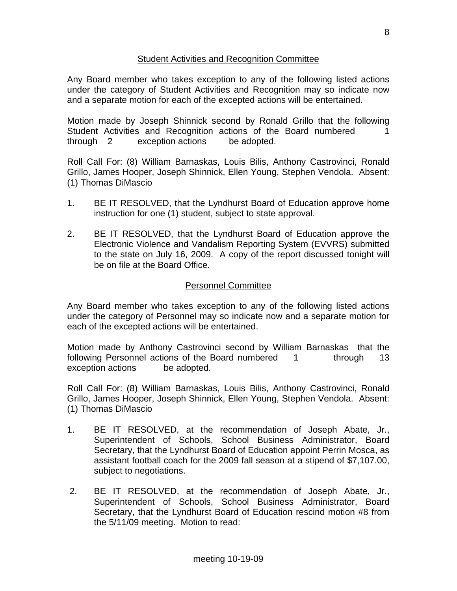# Student Activities and Recognition Committee

Any Board member who takes exception to any of the following listed actions under the category of Student Activities and Recognition may so indicate now and a separate motion for each of the excepted actions will be entertained.

Motion made by Joseph Shinnick second by Ronald Grillo that the following Student Activities and Recognition actions of the Board numbered 1 through 2 exception actions be adopted.

Roll Call For: (8) William Barnaskas, Louis Bilis, Anthony Castrovinci, Ronald Grillo, James Hooper, Joseph Shinnick, Ellen Young, Stephen Vendola. Absent: (1) Thomas DiMascio

- 1. BE IT RESOLVED, that the Lyndhurst Board of Education approve home instruction for one (1) student, subject to state approval.
- 2. BE IT RESOLVED, that the Lyndhurst Board of Education approve the Electronic Violence and Vandalism Reporting System (EVVRS) submitted to the state on July 16, 2009. A copy of the report discussed tonight will be on file at the Board Office.

#### Personnel Committee

Any Board member who takes exception to any of the following listed actions under the category of Personnel may so indicate now and a separate motion for each of the excepted actions will be entertained.

Motion made by Anthony Castrovinci second by William Barnaskas that the following Personnel actions of the Board numbered 1 through 13 exception actions be adopted.

Roll Call For: (8) William Barnaskas, Louis Bilis, Anthony Castrovinci, Ronald Grillo, James Hooper, Joseph Shinnick, Ellen Young, Stephen Vendola. Absent: (1) Thomas DiMascio

- 1. BE IT RESOLVED, at the recommendation of Joseph Abate, Jr., Superintendent of Schools, School Business Administrator, Board Secretary, that the Lyndhurst Board of Education appoint Perrin Mosca, as assistant football coach for the 2009 fall season at a stipend of \$7,107.00, subject to negotiations.
- 2. BE IT RESOLVED, at the recommendation of Joseph Abate, Jr., Superintendent of Schools, School Business Administrator, Board Secretary, that the Lyndhurst Board of Education rescind motion #8 from the 5/11/09 meeting. Motion to read: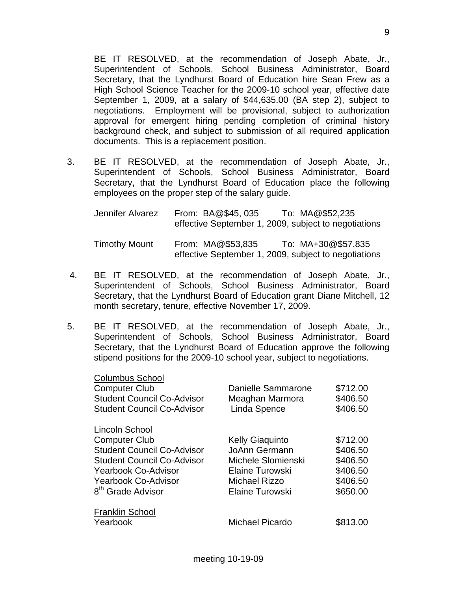BE IT RESOLVED, at the recommendation of Joseph Abate, Jr., Superintendent of Schools, School Business Administrator, Board Secretary, that the Lyndhurst Board of Education hire Sean Frew as a High School Science Teacher for the 2009-10 school year, effective date September 1, 2009, at a salary of \$44,635.00 (BA step 2), subject to negotiations. Employment will be provisional, subject to authorization approval for emergent hiring pending completion of criminal history background check, and subject to submission of all required application documents. This is a replacement position.

3. BE IT RESOLVED, at the recommendation of Joseph Abate, Jr., Superintendent of Schools, School Business Administrator, Board Secretary, that the Lyndhurst Board of Education place the following employees on the proper step of the salary guide.

| Jennifer Alvarez     | From: BA@\$45, 035 | To: MA@\$52,235<br>effective September 1, 2009, subject to negotiations    |
|----------------------|--------------------|----------------------------------------------------------------------------|
| <b>Timothy Mount</b> | From: MA@\$53.835  | To: MA+30@\$57.835<br>effective September 1, 2009, subject to negotiations |

- 4. BE IT RESOLVED, at the recommendation of Joseph Abate, Jr., Superintendent of Schools, School Business Administrator, Board Secretary, that the Lyndhurst Board of Education grant Diane Mitchell, 12 month secretary, tenure, effective November 17, 2009.
- 5. BE IT RESOLVED, at the recommendation of Joseph Abate, Jr., Superintendent of Schools, School Business Administrator, Board Secretary, that the Lyndhurst Board of Education approve the following stipend positions for the 2009-10 school year, subject to negotiations.

| <b>Columbus School</b><br><b>Computer Club</b><br><b>Student Council Co-Advisor</b><br><b>Student Council Co-Advisor</b>                                                                               | Danielle Sammarone<br>Meaghan Marmora<br>Linda Spence                                                                       | \$712.00<br>\$406.50<br>\$406.50                                     |
|--------------------------------------------------------------------------------------------------------------------------------------------------------------------------------------------------------|-----------------------------------------------------------------------------------------------------------------------------|----------------------------------------------------------------------|
| Lincoln School<br><b>Computer Club</b><br><b>Student Council Co-Advisor</b><br><b>Student Council Co-Advisor</b><br>Yearbook Co-Advisor<br><b>Yearbook Co-Advisor</b><br>8 <sup>th</sup> Grade Advisor | <b>Kelly Giaquinto</b><br>JoAnn Germann<br>Michele Slomienski<br>Elaine Turowski<br><b>Michael Rizzo</b><br>Elaine Turowski | \$712.00<br>\$406.50<br>\$406.50<br>\$406.50<br>\$406.50<br>\$650.00 |
| <b>Franklin School</b><br>Yearbook                                                                                                                                                                     | Michael Picardo                                                                                                             | \$813.00                                                             |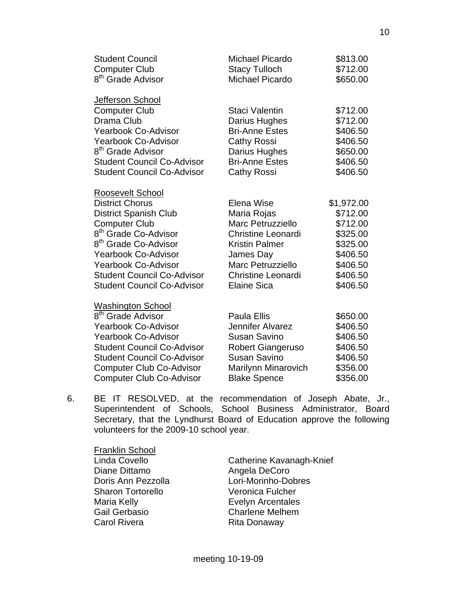| <b>Student Council</b>            | <b>Michael Picardo</b>    | \$813.00   |
|-----------------------------------|---------------------------|------------|
| <b>Computer Club</b>              | <b>Stacy Tulloch</b>      | \$712.00   |
| 8 <sup>th</sup> Grade Advisor     | Michael Picardo           | \$650.00   |
| Jefferson School                  |                           |            |
| <b>Computer Club</b>              | Staci Valentin            | \$712.00   |
| Drama Club                        | Darius Hughes             | \$712.00   |
| <b>Yearbook Co-Advisor</b>        | <b>Bri-Anne Estes</b>     | \$406.50   |
| <b>Yearbook Co-Advisor</b>        | <b>Cathy Rossi</b>        | \$406.50   |
| 8 <sup>th</sup> Grade Advisor     | Darius Hughes             | \$650.00   |
| <b>Student Council Co-Advisor</b> | <b>Bri-Anne Estes</b>     | \$406.50   |
| <b>Student Council Co-Advisor</b> | Cathy Rossi               | \$406.50   |
| Roosevelt School                  |                           |            |
| <b>District Chorus</b>            | Elena Wise                | \$1,972.00 |
| <b>District Spanish Club</b>      | Maria Rojas               | \$712.00   |
| <b>Computer Club</b>              | Marc Petruzziello         | \$712.00   |
| 8 <sup>th</sup> Grade Co-Advisor  | <b>Christine Leonardi</b> | \$325.00   |
| 8 <sup>th</sup> Grade Co-Advisor  | <b>Kristin Palmer</b>     | \$325.00   |
| <b>Yearbook Co-Advisor</b>        | James Day                 | \$406.50   |
| <b>Yearbook Co-Advisor</b>        | <b>Marc Petruzziello</b>  | \$406.50   |
| <b>Student Council Co-Advisor</b> | <b>Christine Leonardi</b> | \$406.50   |
| <b>Student Council Co-Advisor</b> | Elaine Sica               | \$406.50   |
| <b>Washington School</b>          |                           |            |
| 8 <sup>th</sup> Grade Advisor     | Paula Ellis               | \$650.00   |
| <b>Yearbook Co-Advisor</b>        | Jennifer Alvarez          | \$406.50   |
| <b>Yearbook Co-Advisor</b>        | <b>Susan Savino</b>       | \$406.50   |
| $P$ fudant Caunail Ca. Advisor    | Dobort Ciongorugo         | 0.100 E    |

- Student Council Co-Advisor Robert Giangeruso \$406.50 Student Council Co-Advisor Susan Savino \$406.50 Computer Club Co-Advisor Marilynn Minarovich \$356.00 Computer Club Co-Advisor Blake Spence \$356.00
- 6. BE IT RESOLVED, at the recommendation of Joseph Abate, Jr., Superintendent of Schools, School Business Administrator, Board Secretary, that the Lyndhurst Board of Education approve the following volunteers for the 2009-10 school year.

Franklin School Diane Dittamo **Angela DeCoro** Sharon Tortorello **Veronica Fulcher** Maria Kelly **Exelyn Arcentales**  Gail Gerbasio Charlene Melhem Carol Rivera **Rita Donaway** 

Linda Covello **Catherine Kavanagh-Knief** Doris Ann Pezzolla Lori-Morinho-Dobres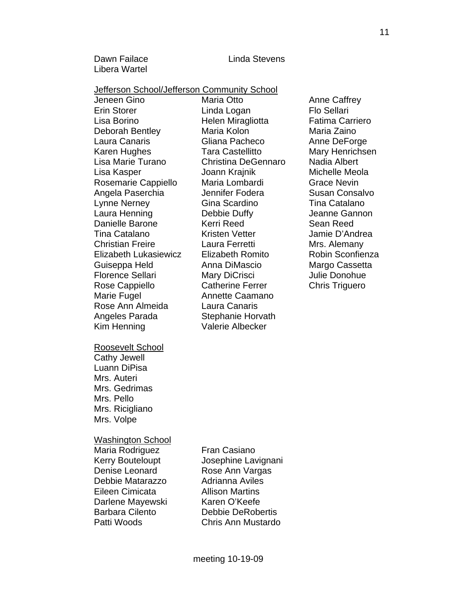Dawn Failace **Linda Stevens** Libera Wartel

#### Jefferson School/Jefferson Community School

 Jeneen Gino Maria Otto Anne Caffrey Erin Storer **Linda Logan** Flo Sellari Lisa Borino Helen Miragliotta Fatima Carriero Deborah Bentley Maria Kolon Maria Zaino Laura Canaris **Cliana Pacheco** Anne DeForge Karen Hughes **Tara Castellitto** Mary Henrichsen Lisa Marie Turano Christina DeGennaro Nadia Albert Lisa Kasper **Michelle Meola** Joann Krajnik **Michelle Meola** Rosemarie Cappiello Maria Lombardi Grace Nevin Angela Paserchia and Jennifer Fodera and Susan Consalvo Lynne Nerney Gina Scardino Tina Catalano Laura Henning Debbie Duffy Jeanne Gannon Danielle Barone Kerri Reed Sean Reed Tina Catalano Kristen Vetter Jamie D'Andrea Christian Freire **Laura Ferretti** Mrs. Alemany Elizabeth Lukasiewicz Elizabeth Romito Robin Sconfienza Guiseppa Held **Anna DiMascio** Margo Cassetta Florence Sellari Mary DiCrisci bullie Donohue Rose Cappiello Catherine Ferrer Chris Triguero Marie Fugel **Annette Caamano**  Rose Ann Almeida Laura Canaris Angeles Parada Stephanie Horvath Kim Henning Valerie Albecker

Roosevelt School Cathy Jewell Luann DiPisa Mrs. Auteri Mrs. Gedrimas Mrs. Pello Mrs. Ricigliano

Mrs. Volpe

Washington School

Maria Rodriguez Fran Casiano Denise Leonard Rose Ann Vargas Debbie Matarazzo Adrianna Aviles Eileen Cimicata Allison Martins Darlene Mayewski Karen O'Keefe

 Kerry Bouteloupt Josephine Lavignani Barbara Cilento Debbie DeRobertis Patti Woods Chris Ann Mustardo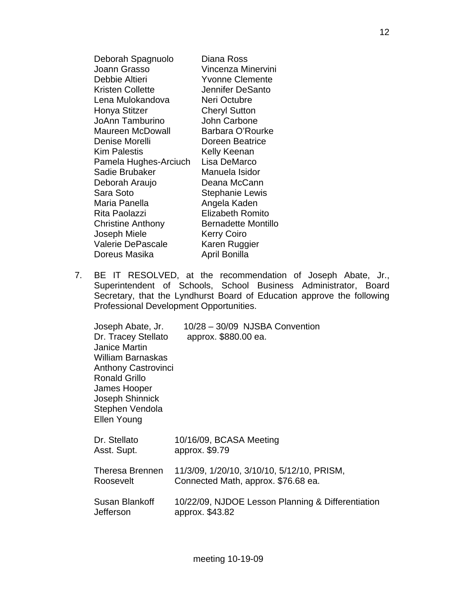| Deborah Spagnuolo        | Diana Ross              |
|--------------------------|-------------------------|
| Joann Grasso             | Vincenza Minervini      |
| Debbie Altieri           | <b>Yvonne Clemente</b>  |
| <b>Kristen Collette</b>  | Jennifer DeSanto        |
| Lena Mulokandova         | Neri Octubre            |
| Honya Stitzer            | <b>Cheryl Sutton</b>    |
| <b>JoAnn Tamburino</b>   | John Carbone            |
| <b>Maureen McDowall</b>  | Barbara O'Rourke        |
| Denise Morelli           | Doreen Beatrice         |
| <b>Kim Palestis</b>      | Kelly Keenan            |
| Pamela Hughes-Arciuch    | Lisa DeMarco            |
| Sadie Brubaker           | Manuela Isidor          |
| Deborah Araujo           | Deana McCann            |
| Sara Soto                | <b>Stephanie Lewis</b>  |
| Maria Panella            | Angela Kaden            |
| Rita Paolazzi            | <b>Elizabeth Romito</b> |
| <b>Christine Anthony</b> | Bernadette Montillo     |
| Joseph Miele             | <b>Kerry Coiro</b>      |
| <b>Valerie DePascale</b> | Karen Ruggier           |
| Doreus Masika            | April Bonilla           |

 7. BE IT RESOLVED, at the recommendation of Joseph Abate, Jr., Superintendent of Schools, School Business Administrator, Board Secretary, that the Lyndhurst Board of Education approve the following Professional Development Opportunities.

| Joseph Abate, Jr.<br>Dr. Tracey Stellato<br>Janice Martin<br><b>William Barnaskas</b><br><b>Anthony Castrovinci</b><br><b>Ronald Grillo</b><br>James Hooper<br>Joseph Shinnick<br>Stephen Vendola<br>Ellen Young | 10/28 - 30/09 NJSBA Convention<br>approx. \$880.00 ea.                            |
|------------------------------------------------------------------------------------------------------------------------------------------------------------------------------------------------------------------|-----------------------------------------------------------------------------------|
| Dr. Stellato<br>Asst. Supt.                                                                                                                                                                                      | 10/16/09, BCASA Meeting<br>approx. \$9.79                                         |
| Theresa Brennen<br>Roosevelt                                                                                                                                                                                     | 11/3/09, 1/20/10, 3/10/10, 5/12/10, PRISM,<br>Connected Math, approx. \$76.68 ea. |
| Susan Blankoff<br>Jefferson                                                                                                                                                                                      | 10/22/09, NJDOE Lesson Planning & Differentiation<br>approx. \$43.82              |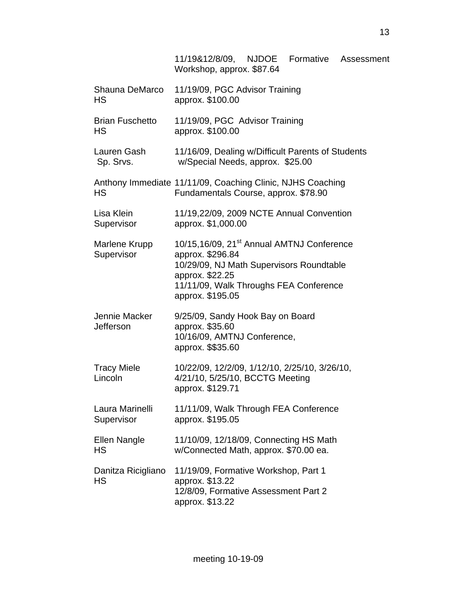|                               | 11/19&12/8/09, NJDOE Formative<br>Assessment<br>Workshop, approx. \$87.64                                                                                                                              |
|-------------------------------|--------------------------------------------------------------------------------------------------------------------------------------------------------------------------------------------------------|
| Shauna DeMarco<br><b>HS</b>   | 11/19/09, PGC Advisor Training<br>approx. \$100.00                                                                                                                                                     |
| <b>Brian Fuschetto</b><br>HS  | 11/19/09, PGC Advisor Training<br>approx. \$100.00                                                                                                                                                     |
| Lauren Gash<br>Sp. Srvs.      | 11/16/09, Dealing w/Difficult Parents of Students<br>w/Special Needs, approx. \$25.00                                                                                                                  |
| <b>HS</b>                     | Anthony Immediate 11/11/09, Coaching Clinic, NJHS Coaching<br>Fundamentals Course, approx. \$78.90                                                                                                     |
| Lisa Klein<br>Supervisor      | 11/19,22/09, 2009 NCTE Annual Convention<br>approx. \$1,000.00                                                                                                                                         |
| Marlene Krupp<br>Supervisor   | 10/15,16/09, 21 <sup>st</sup> Annual AMTNJ Conference<br>approx. \$296.84<br>10/29/09, NJ Math Supervisors Roundtable<br>approx. \$22.25<br>11/11/09, Walk Throughs FEA Conference<br>approx. \$195.05 |
| Jennie Macker<br>Jefferson    | 9/25/09, Sandy Hook Bay on Board<br>approx. \$35.60<br>10/16/09, AMTNJ Conference,<br>approx. \$\$35.60                                                                                                |
| <b>Tracy Miele</b><br>Lincoln | 10/22/09, 12/2/09, 1/12/10, 2/25/10, 3/26/10,<br>4/21/10, 5/25/10, BCCTG Meeting<br>approx. \$129.71                                                                                                   |
| Laura Marinelli<br>Supervisor | 11/11/09, Walk Through FEA Conference<br>approx. \$195.05                                                                                                                                              |
| Ellen Nangle<br><b>HS</b>     | 11/10/09, 12/18/09, Connecting HS Math<br>w/Connected Math, approx. \$70.00 ea.                                                                                                                        |
| Danitza Ricigliano<br>HS      | 11/19/09, Formative Workshop, Part 1<br>approx. \$13.22<br>12/8/09, Formative Assessment Part 2<br>approx. \$13.22                                                                                     |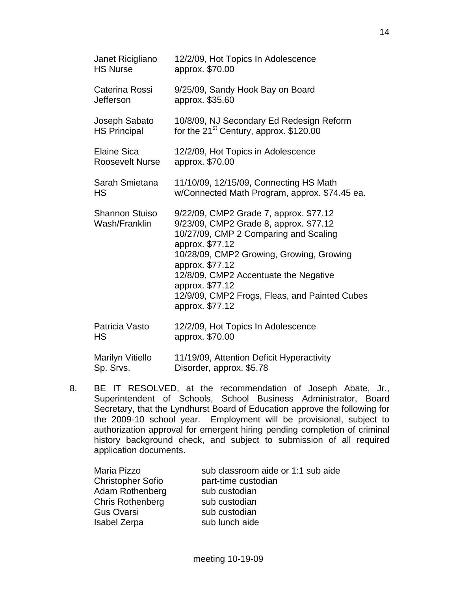| Janet Ricigliano<br><b>HS Nurse</b>    | 12/2/09, Hot Topics In Adolescence<br>approx. \$70.00                                                                                                                                                                                                                                                                                       |
|----------------------------------------|---------------------------------------------------------------------------------------------------------------------------------------------------------------------------------------------------------------------------------------------------------------------------------------------------------------------------------------------|
| Caterina Rossi<br>Jefferson            | 9/25/09, Sandy Hook Bay on Board<br>approx. \$35.60                                                                                                                                                                                                                                                                                         |
| Joseph Sabato<br><b>HS Principal</b>   | 10/8/09, NJ Secondary Ed Redesign Reform<br>for the 21 <sup>st</sup> Century, approx. \$120.00                                                                                                                                                                                                                                              |
| Elaine Sica<br><b>Roosevelt Nurse</b>  | 12/2/09, Hot Topics in Adolescence<br>approx. \$70.00                                                                                                                                                                                                                                                                                       |
| Sarah Smietana<br>HS                   | 11/10/09, 12/15/09, Connecting HS Math<br>w/Connected Math Program, approx. \$74.45 ea.                                                                                                                                                                                                                                                     |
| <b>Shannon Stuiso</b><br>Wash/Franklin | 9/22/09, CMP2 Grade 7, approx. \$77.12<br>9/23/09, CMP2 Grade 8, approx. \$77.12<br>10/27/09, CMP 2 Comparing and Scaling<br>approx. \$77.12<br>10/28/09, CMP2 Growing, Growing, Growing<br>approx. \$77.12<br>12/8/09, CMP2 Accentuate the Negative<br>approx. \$77.12<br>12/9/09, CMP2 Frogs, Fleas, and Painted Cubes<br>approx. \$77.12 |
| Patricia Vasto<br>HS                   | 12/2/09, Hot Topics In Adolescence<br>approx. \$70.00                                                                                                                                                                                                                                                                                       |
| Marilyn Vitiello<br>Sp. Srvs.          | 11/19/09, Attention Deficit Hyperactivity<br>Disorder, approx. \$5.78                                                                                                                                                                                                                                                                       |

 8. BE IT RESOLVED, at the recommendation of Joseph Abate, Jr., Superintendent of Schools, School Business Administrator, Board Secretary, that the Lyndhurst Board of Education approve the following for the 2009-10 school year. Employment will be provisional, subject to authorization approval for emergent hiring pending completion of criminal history background check, and subject to submission of all required application documents.

| sub classroom aide or 1:1 sub aide |
|------------------------------------|
| part-time custodian                |
| sub custodian                      |
| sub custodian                      |
| sub custodian                      |
| sub lunch aide                     |
|                                    |

14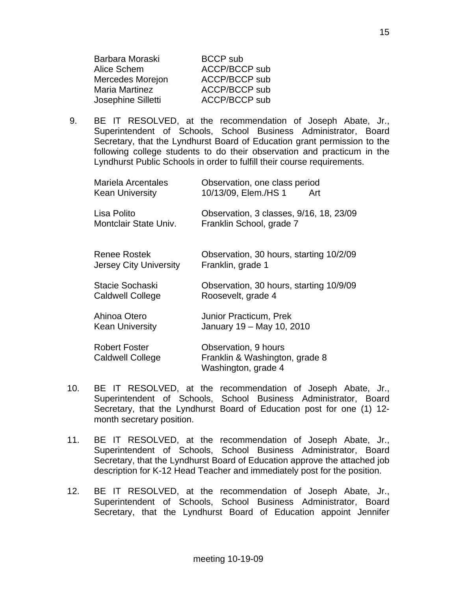| Barbara Moraski    | <b>BCCP</b> sub      |
|--------------------|----------------------|
| Alice Schem        | <b>ACCP/BCCP sub</b> |
| Mercedes Morejon   | <b>ACCP/BCCP sub</b> |
| Maria Martinez     | <b>ACCP/BCCP sub</b> |
| Josephine Silletti | <b>ACCP/BCCP sub</b> |

 9. BE IT RESOLVED, at the recommendation of Joseph Abate, Jr., Superintendent of Schools, School Business Administrator, Board Secretary, that the Lyndhurst Board of Education grant permission to the following college students to do their observation and practicum in the Lyndhurst Public Schools in order to fulfill their course requirements.

| Mariela Arcentales<br><b>Kean University</b>    | Observation, one class period<br>10/13/09, Elem./HS 1<br>Art                  |
|-------------------------------------------------|-------------------------------------------------------------------------------|
| Lisa Polito<br>Montclair State Univ.            | Observation, 3 classes, 9/16, 18, 23/09<br>Franklin School, grade 7           |
| Renee Rostek<br>Jersey City University          | Observation, 30 hours, starting 10/2/09<br>Franklin, grade 1                  |
| Stacie Sochaski<br><b>Caldwell College</b>      | Observation, 30 hours, starting 10/9/09<br>Roosevelt, grade 4                 |
| Ahinoa Otero<br><b>Kean University</b>          | <b>Junior Practicum, Prek</b><br>January 19 - May 10, 2010                    |
| <b>Robert Foster</b><br><b>Caldwell College</b> | Observation, 9 hours<br>Franklin & Washington, grade 8<br>Washington, grade 4 |

- 10. BE IT RESOLVED, at the recommendation of Joseph Abate, Jr., Superintendent of Schools, School Business Administrator, Board Secretary, that the Lyndhurst Board of Education post for one (1) 12 month secretary position.
- 11. BE IT RESOLVED, at the recommendation of Joseph Abate, Jr., Superintendent of Schools, School Business Administrator, Board Secretary, that the Lyndhurst Board of Education approve the attached job description for K-12 Head Teacher and immediately post for the position.
- 12. BE IT RESOLVED, at the recommendation of Joseph Abate, Jr., Superintendent of Schools, School Business Administrator, Board Secretary, that the Lyndhurst Board of Education appoint Jennifer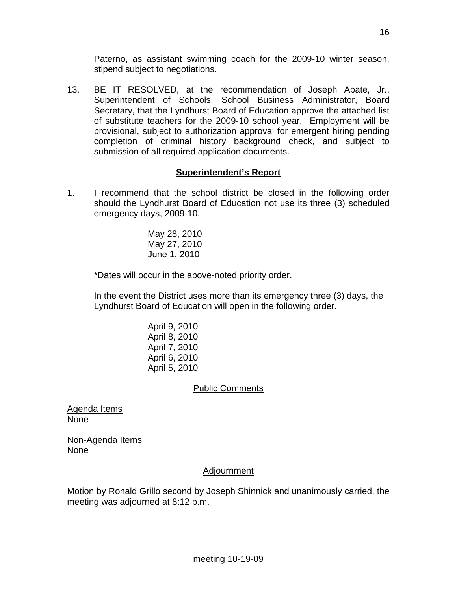Paterno, as assistant swimming coach for the 2009-10 winter season, stipend subject to negotiations.

13. BE IT RESOLVED, at the recommendation of Joseph Abate, Jr., Superintendent of Schools, School Business Administrator, Board Secretary, that the Lyndhurst Board of Education approve the attached list of substitute teachers for the 2009-10 school year. Employment will be provisional, subject to authorization approval for emergent hiring pending completion of criminal history background check, and subject to submission of all required application documents.

# **Superintendent's Report**

1. I recommend that the school district be closed in the following order should the Lyndhurst Board of Education not use its three (3) scheduled emergency days, 2009-10.

> May 28, 2010 May 27, 2010 June 1, 2010

\*Dates will occur in the above-noted priority order.

 In the event the District uses more than its emergency three (3) days, the Lyndhurst Board of Education will open in the following order.

> April 9, 2010 April 8, 2010 April 7, 2010 April 6, 2010 April 5, 2010

# Public Comments

Agenda Items None

Non-Agenda Items None

# Adjournment

Motion by Ronald Grillo second by Joseph Shinnick and unanimously carried, the meeting was adjourned at 8:12 p.m.